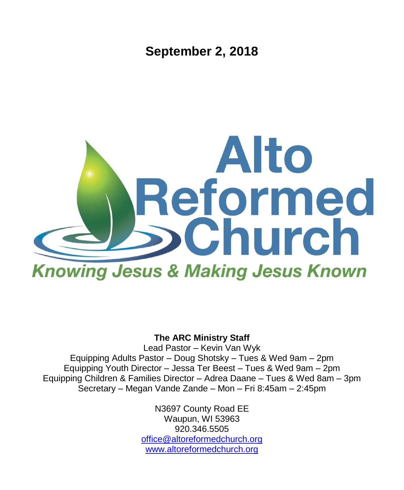**September 2, 2018**



#### **The ARC Ministry Staff**

Lead Pastor – Kevin Van Wyk Equipping Adults Pastor – Doug Shotsky – Tues & Wed 9am – 2pm Equipping Youth Director – Jessa Ter Beest – Tues & Wed 9am – 2pm Equipping Children & Families Director – Adrea Daane – Tues & Wed 8am – 3pm Secretary – Megan Vande Zande – Mon – Fri 8:45am – 2:45pm

> N3697 County Road EE Waupun, WI 53963 920.346.5505 [office@altoreformedchurch.org](mailto:office@altoreformedchurch.org) [www.altoreformedchurch.org](http://www.altoreformedchurch.org/)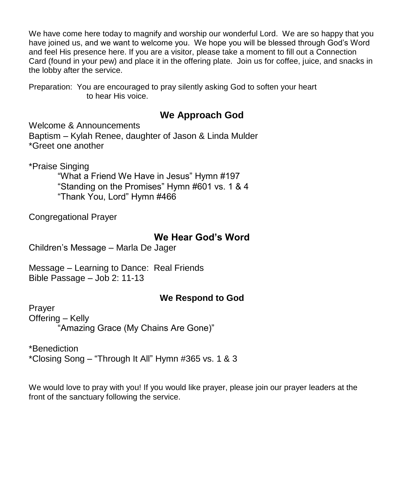We have come here today to magnify and worship our wonderful Lord. We are so happy that you have joined us, and we want to welcome you. We hope you will be blessed through God's Word and feel His presence here. If you are a visitor, please take a moment to fill out a Connection Card (found in your pew) and place it in the offering plate. Join us for coffee, juice, and snacks in the lobby after the service.

Preparation: You are encouraged to pray silently asking God to soften your heart to hear His voice.

### **We Approach God**

Welcome & Announcements

Baptism – Kylah Renee, daughter of Jason & Linda Mulder \*Greet one another

\*Praise Singing

"What a Friend We Have in Jesus" Hymn #197 "Standing on the Promises" Hymn #601 vs. 1 & 4 "Thank You, Lord" Hymn #466

Congregational Prayer

### **We Hear God's Word**

Children's Message – Marla De Jager

Message – Learning to Dance: Real Friends Bible Passage – Job 2: 11-13

### **We Respond to God**

Prayer Offering – Kelly "Amazing Grace (My Chains Are Gone)"

\*Benediction \*Closing Song – "Through It All" Hymn #365 vs. 1 & 3

We would love to pray with you! If you would like prayer, please join our prayer leaders at the front of the sanctuary following the service.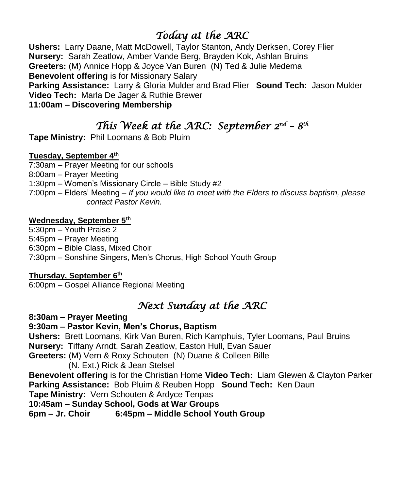## *Today at the ARC*

**Ushers:** Larry Daane, Matt McDowell, Taylor Stanton, Andy Derksen, Corey Flier **Nursery:** Sarah Zeatlow, Amber Vande Berg, Brayden Kok, Ashlan Bruins **Greeters:** (M) Annice Hopp & Joyce Van Buren (N) Ted & Julie Medema **Benevolent offering** is for Missionary Salary **Parking Assistance:** Larry & Gloria Mulder and Brad Flier **Sound Tech:** Jason Mulder **Video Tech:** Marla De Jager & Ruthie Brewer **11:00am – Discovering Membership**

## *This Week at the ARC: September 2<sup>nd</sup> – 8<sup>th</sup>*

**Tape Ministry:** Phil Loomans & Bob Pluim

#### **Tuesday, September 4th**

7:30am – Prayer Meeting for our schools

8:00am – Prayer Meeting

1:30pm – Women's Missionary Circle – Bible Study #2

7:00pm – Elders' Meeting – *If you would like to meet with the Elders to discuss baptism, please contact Pastor Kevin.*

#### **Wednesday, September 5th**

5:30pm – Youth Praise 2 5:45pm – Prayer Meeting 6:30pm – Bible Class, Mixed Choir 7:30pm – Sonshine Singers, Men's Chorus, High School Youth Group

#### **Thursday, September 6th**

6:00pm – Gospel Alliance Regional Meeting

# *Next Sunday at the ARC*

**8:30am – Prayer Meeting**

#### **9:30am – Pastor Kevin, Men's Chorus, Baptism**

**Ushers:** Brett Loomans, Kirk Van Buren, Rich Kamphuis, Tyler Loomans, Paul Bruins **Nursery:** Tiffany Arndt, Sarah Zeatlow, Easton Hull, Evan Sauer **Greeters:** (M) Vern & Roxy Schouten (N) Duane & Colleen Bille

(N. Ext.) Rick & Jean Stelsel

**Benevolent offering** is for the Christian Home **Video Tech:** Liam Glewen & Clayton Parker **Parking Assistance:** Bob Pluim & Reuben Hopp **Sound Tech:** Ken Daun

**Tape Ministry:** Vern Schouten & Ardyce Tenpas

**10:45am – Sunday School, Gods at War Groups**

**6pm – Jr. Choir 6:45pm – Middle School Youth Group**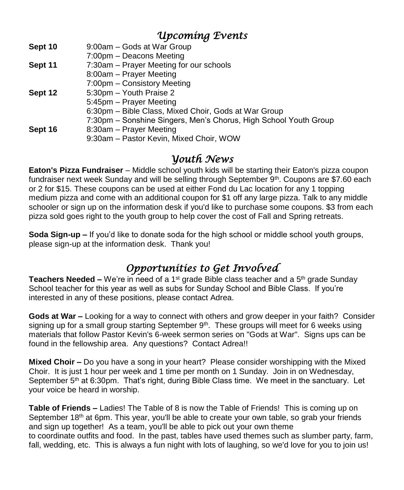### *Upcoming Events*

| Sept 10 | 9:00am - Gods at War Group                                       |
|---------|------------------------------------------------------------------|
|         | 7:00pm – Deacons Meeting                                         |
| Sept 11 | 7:30am - Prayer Meeting for our schools                          |
|         | 8:00am - Prayer Meeting                                          |
|         | 7:00pm - Consistory Meeting                                      |
| Sept 12 | 5:30pm - Youth Praise 2                                          |
|         | 5:45pm - Prayer Meeting                                          |
|         | 6:30pm - Bible Class, Mixed Choir, Gods at War Group             |
|         | 7:30pm - Sonshine Singers, Men's Chorus, High School Youth Group |
| Sept 16 | 8:30am - Prayer Meeting                                          |
|         | 9:30am - Pastor Kevin, Mixed Choir, WOW                          |
|         |                                                                  |

### *Youth News*

**Eaton's Pizza Fundraiser** – Middle school youth kids will be starting their Eaton's pizza coupon fundraiser next week Sunday and will be selling through September  $9<sup>th</sup>$ . Coupons are \$7.60 each or 2 for \$15. These coupons can be used at either Fond du Lac location for any 1 topping medium pizza and come with an additional coupon for \$1 off any large pizza. Talk to any middle schooler or sign up on the information desk if you'd like to purchase some coupons. \$3 from each pizza sold goes right to the youth group to help cover the cost of Fall and Spring retreats.

**Soda Sign-up –** If you'd like to donate soda for the high school or middle school youth groups, please sign-up at the information desk. Thank you!

# *Opportunities to Get Involved*

**Teachers Needed –** We're in need of a 1<sup>st</sup> grade Bible class teacher and a 5<sup>th</sup> grade Sunday School teacher for this year as well as subs for Sunday School and Bible Class. If you're interested in any of these positions, please contact Adrea.

**Gods at War –** Looking for a way to connect with others and grow deeper in your faith? Consider signing up for a small group starting September 9<sup>th</sup>. These groups will meet for 6 weeks using materials that follow Pastor Kevin's 6-week sermon series on "Gods at War". Signs ups can be found in the fellowship area. Any questions? Contact Adrea!!

**Mixed Choir –** Do you have a song in your heart? Please consider worshipping with the Mixed Choir. It is just 1 hour per week and 1 time per month on 1 Sunday. Join in on Wednesday, September  $5<sup>th</sup>$  at 6:30pm. That's right, during Bible Class time. We meet in the sanctuary. Let your voice be heard in worship.

**Table of Friends –** Ladies! The Table of 8 is now the Table of Friends! This is coming up on September 18<sup>th</sup> at 6pm. This year, you'll be able to create your own table, so grab your friends and sign up together! As a team, you'll be able to pick out your own theme to coordinate outfits and food. In the past, tables have used themes such as slumber party, farm, fall, wedding, etc. This is always a fun night with lots of laughing, so we'd love for you to join us!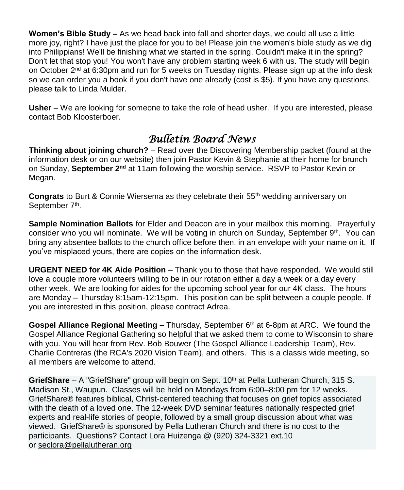**Women's Bible Study –** As we head back into fall and shorter days, we could all use a little more joy, right? I have just the place for you to be! Please join the women's bible study as we dig into Philippians! We'll be finishing what we started in the spring. Couldn't make it in the spring? Don't let that stop you! You won't have any problem starting week 6 with us. The study will begin on October  $2<sup>nd</sup>$  at 6:30pm and run for 5 weeks on Tuesday nights. Please sign up at the info desk so we can order you a book if you don't have one already (cost is \$5). If you have any questions, please talk to Linda Mulder.

**Usher** – We are looking for someone to take the role of head usher. If you are interested, please contact Bob Kloosterboer.

## *Bulletin Board News*

**Thinking about joining church?** – Read over the Discovering Membership packet (found at the information desk or on our website) then join Pastor Kevin & Stephanie at their home for brunch on Sunday, **September 2<sup>nd</sup>** at 11am following the worship service. RSVP to Pastor Kevin or Megan.

**Congrats** to Burt & Connie Wiersema as they celebrate their 55<sup>th</sup> wedding anniversary on September 7<sup>th</sup>.

**Sample Nomination Ballots** for Elder and Deacon are in your mailbox this morning. Prayerfully consider who you will nominate. We will be voting in church on Sunday, September 9th. You can bring any absentee ballots to the church office before then, in an envelope with your name on it. If you've misplaced yours, there are copies on the information desk.

**URGENT NEED for 4K Aide Position** – Thank you to those that have responded. We would still love a couple more volunteers willing to be in our rotation either a day a week or a day every other week. We are looking for aides for the upcoming school year for our 4K class. The hours are Monday – Thursday 8:15am-12:15pm. This position can be split between a couple people. If you are interested in this position, please contract Adrea.

**Gospel Alliance Regional Meeting –** Thursday, September 6<sup>th</sup> at 6-8pm at ARC. We found the Gospel Alliance Regional Gathering so helpful that we asked them to come to Wisconsin to share with you. You will hear from Rev. Bob Bouwer (The Gospel Alliance Leadership Team), Rev. Charlie Contreras (the RCA's 2020 Vision Team), and others. This is a classis wide meeting, so all members are welcome to attend.

GriefShare – A "GriefShare" group will begin on Sept. 10<sup>th</sup> at Pella Lutheran Church, 315 S. Madison St., Waupun. Classes will be held on Mondays from 6:00–8:00 pm for 12 weeks. GriefShare® features biblical, Christ-centered teaching that focuses on grief topics associated with the death of a loved one. The 12-week DVD seminar features nationally respected grief experts and real-life stories of people, followed by a small group discussion about what was viewed. GriefShare® is sponsored by Pella Lutheran Church and there is no cost to the participants. Questions? Contact Lora Huizenga @ (920) 324-3321 ext.10 or [seclora@pellalutheran.org](mailto:seclora@pellalutheran.org)